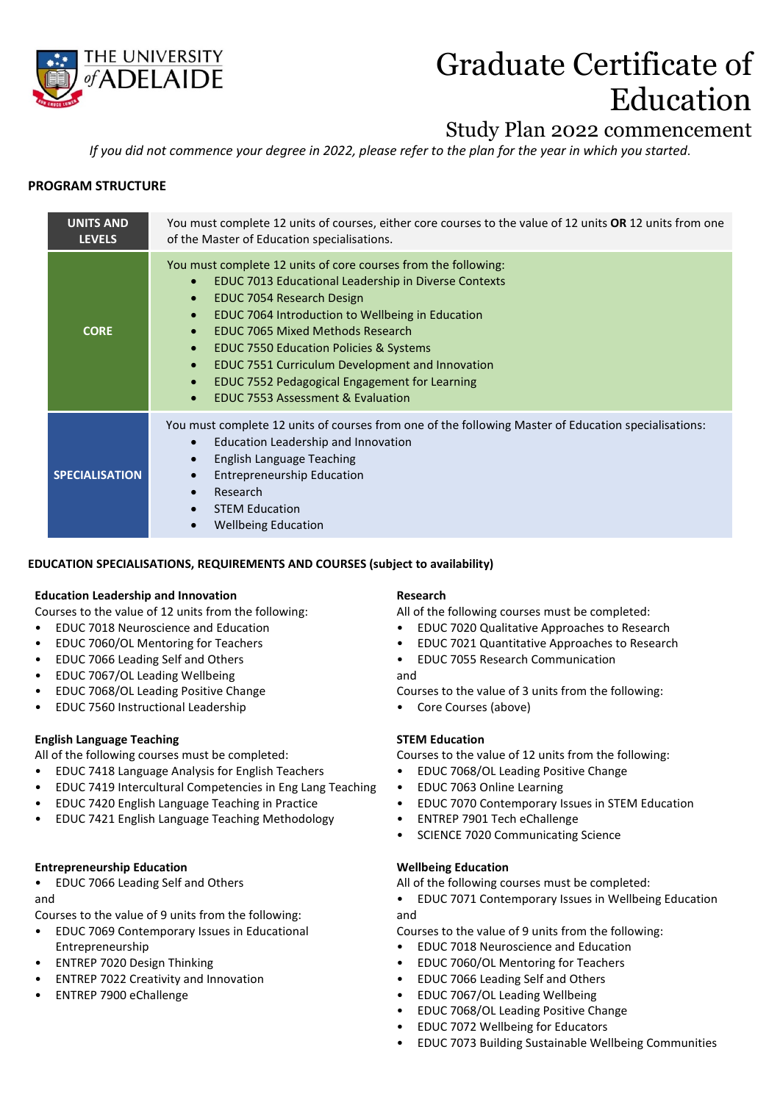

# Graduate Certificate of Education

## Study Plan 2022 commencement

*If you did not commence your degree in 2022, please refer to the plan for the year in which you started*.

### **PROGRAM STRUCTURE**

| <b>UNITS AND</b><br><b>LEVELS</b> | You must complete 12 units of courses, either core courses to the value of 12 units OR 12 units from one<br>of the Master of Education specialisations.                                                                                                                                                                                                                                                                                                                                                                                                             |  |  |  |
|-----------------------------------|---------------------------------------------------------------------------------------------------------------------------------------------------------------------------------------------------------------------------------------------------------------------------------------------------------------------------------------------------------------------------------------------------------------------------------------------------------------------------------------------------------------------------------------------------------------------|--|--|--|
| <b>CORE</b>                       | You must complete 12 units of core courses from the following:<br>EDUC 7013 Educational Leadership in Diverse Contexts<br>$\bullet$<br>EDUC 7054 Research Design<br>$\bullet$<br>EDUC 7064 Introduction to Wellbeing in Education<br>$\bullet$<br><b>EDUC 7065 Mixed Methods Research</b><br>$\bullet$<br><b>EDUC 7550 Education Policies &amp; Systems</b><br>$\bullet$<br>EDUC 7551 Curriculum Development and Innovation<br>$\bullet$<br>EDUC 7552 Pedagogical Engagement for Learning<br>$\bullet$<br><b>EDUC 7553 Assessment &amp; Evaluation</b><br>$\bullet$ |  |  |  |
| <b>SPECIALISATION</b>             | You must complete 12 units of courses from one of the following Master of Education specialisations:<br>Education Leadership and Innovation<br>$\bullet$<br>English Language Teaching<br><b>Entrepreneurship Education</b><br>Research<br>$\bullet$<br><b>STEM Education</b><br><b>Wellbeing Education</b>                                                                                                                                                                                                                                                          |  |  |  |

#### **EDUCATION SPECIALISATIONS, REQUIREMENTS AND COURSES (subject to availability)**

#### **Education Leadership and Innovation**

Courses to the value of 12 units from the following:

- EDUC 7018 Neuroscience and Education
- EDUC 7060/OL Mentoring for Teachers
- EDUC 7066 Leading Self and Others
- EDUC 7067/OL Leading Wellbeing
- EDUC 7068/OL Leading Positive Change
- EDUC 7560 Instructional Leadership

#### **English Language Teaching**

All of the following courses must be completed:

- EDUC 7418 Language Analysis for English Teachers
- EDUC 7419 Intercultural Competencies in Eng Lang Teaching
- EDUC 7420 English Language Teaching in Practice
- EDUC 7421 English Language Teaching Methodology

#### **Entrepreneurship Education**

• EDUC 7066 Leading Self and Others and

- Courses to the value of 9 units from the following:
- EDUC 7069 Contemporary Issues in Educational Entrepreneurship
- ENTREP 7020 Design Thinking
- ENTREP 7022 Creativity and Innovation
- ENTREP 7900 eChallenge

#### **Research**

All of the following courses must be completed:

- EDUC 7020 Qualitative Approaches to Research
- EDUC 7021 Quantitative Approaches to Research
- EDUC 7055 Research Communication
- and

Courses to the value of 3 units from the following:

• Core Courses (above)

#### **STEM Education**

Courses to the value of 12 units from the following:

- EDUC 7068/OL Leading Positive Change
- EDUC 7063 Online Learning
- EDUC 7070 Contemporary Issues in STEM Education
- ENTREP 7901 Tech eChallenge
- SCIENCE 7020 Communicating Science

#### **Wellbeing Education**

All of the following courses must be completed:

• EDUC 7071 Contemporary Issues in Wellbeing Education and

Courses to the value of 9 units from the following:

- EDUC 7018 Neuroscience and Education
- EDUC 7060/OL Mentoring for Teachers
- EDUC 7066 Leading Self and Others
- EDUC 7067/OL Leading Wellbeing
- EDUC 7068/OL Leading Positive Change
- EDUC 7072 Wellbeing for Educators
- EDUC 7073 Building Sustainable Wellbeing Communities